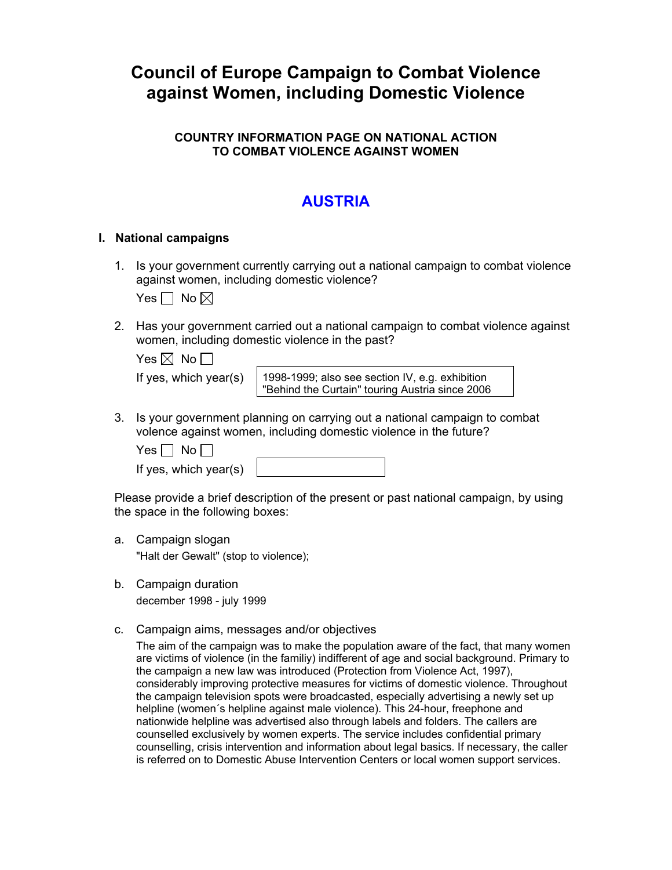# **Council of Europe Campaign to Combat Violence against Women, including Domestic Violence**

### **COUNTRY INFORMATION PAGE ON NATIONAL ACTION TO COMBAT VIOLENCE AGAINST WOMEN**

## **AUSTRIA**

#### **I. National campaigns**

1. Is your government currently carrying out a national campaign to combat violence against women, including domestic violence?

Yes  $\Box$  No  $\boxtimes$ 

2. Has your government carried out a national campaign to combat violence against women, including domestic violence in the past?

| Yes $\boxtimes$ No $\Box$ |  |  |
|---------------------------|--|--|
|                           |  |  |

If yes, which year(s)  $\mid$  1998-1999; also see section IV, e.g. exhibition "Behind the Curtain" touring Austria since 2006

3. Is your government planning on carrying out a national campaign to combat volence against women, including domestic violence in the future?

 $Yes \Box No \Box$ 

If yes, which year(s)

Please provide a brief description of the present or past national campaign, by using the space in the following boxes:

- a. Campaign slogan "Halt der Gewalt" (stop to violence);
- b. Campaign duration december 1998 - july 1999
- c. Campaign aims, messages and/or objectives

The aim of the campaign was to make the population aware of the fact, that many women are victims of violence (in the familiy) indifferent of age and social background. Primary to the campaign a new law was introduced (Protection from Violence Act, 1997), considerably improving protective measures for victims of domestic violence. Throughout the campaign television spots were broadcasted, especially advertising a newly set up helpline (women´s helpline against male violence). This 24-hour, freephone and nationwide helpline was advertised also through labels and folders. The callers are counselled exclusively by women experts. The service includes confidential primary counselling, crisis intervention and information about legal basics. If necessary, the caller is referred on to Domestic Abuse Intervention Centers or local women support services.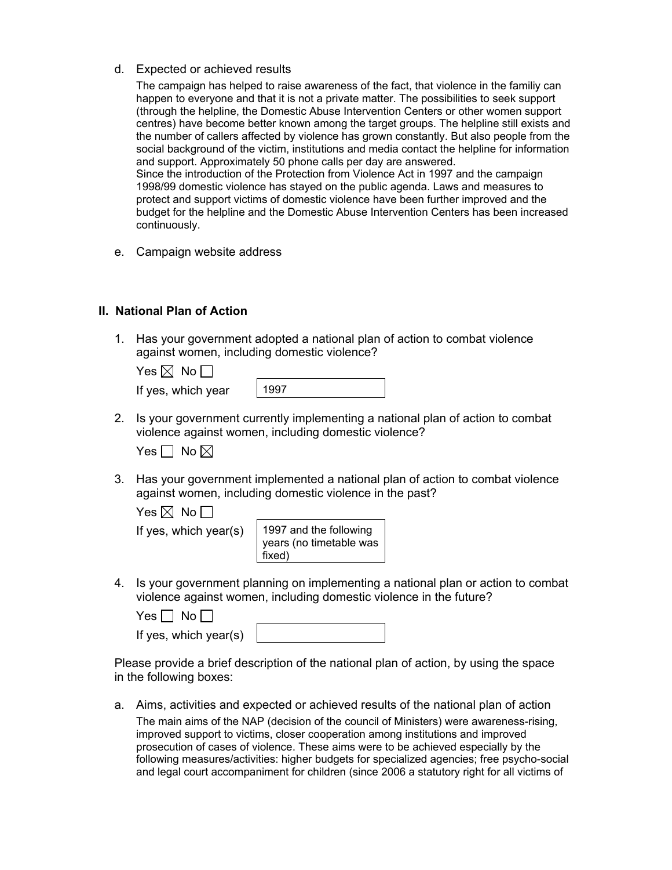d. Expected or achieved results

The campaign has helped to raise awareness of the fact, that violence in the familiy can happen to everyone and that it is not a private matter. The possibilities to seek support (through the helpline, the Domestic Abuse Intervention Centers or other women support centres) have become better known among the target groups. The helpline still exists and the number of callers affected by violence has grown constantly. But also people from the social background of the victim, institutions and media contact the helpline for information and support. Approximately 50 phone calls per day are answered. Since the introduction of the Protection from Violence Act in 1997 and the campaign 1998/99 domestic violence has stayed on the public agenda. Laws and measures to protect and support victims of domestic violence have been further improved and the budget for the helpline and the Domestic Abuse Intervention Centers has been increased continuously.

e. Campaign website address

#### **II. National Plan of Action**

1. Has your government adopted a national plan of action to combat violence against women, including domestic violence?

| es IXI | No. |
|--------|-----|
|--------|-----|

| If yes, which year |  |  |
|--------------------|--|--|
|--------------------|--|--|

1997

2. Is your government currently implementing a national plan of action to combat violence against women, including domestic violence?

Yes  $\Box$  No  $\boxtimes$ 

3. Has your government implemented a national plan of action to combat violence against women, including domestic violence in the past?

Yes  $\boxtimes$  No  $\Box$ 

If yes, which year(s)  $\vert$  1997 and the following years (no timetable was fixed)

4. Is your government planning on implementing a national plan or action to combat violence against women, including domestic violence in the future?

| $Yes \Box No \Box$    |  |
|-----------------------|--|
| If yes, which year(s) |  |

Please provide a brief description of the national plan of action, by using the space in the following boxes:

a. Aims, activities and expected or achieved results of the national plan of action The main aims of the NAP (decision of the council of Ministers) were awareness-rising, improved support to victims, closer cooperation among institutions and improved prosecution of cases of violence. These aims were to be achieved especially by the following measures/activities: higher budgets for specialized agencies; free psycho-social and legal court accompaniment for children (since 2006 a statutory right for all victims of